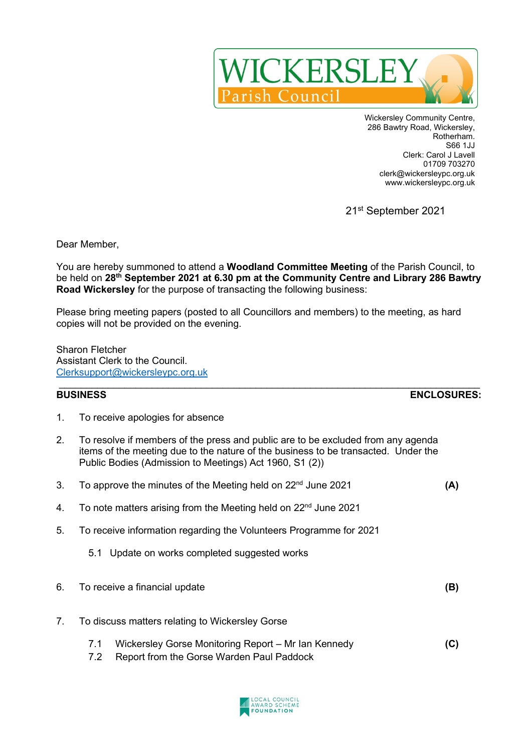

Wickersley Community Centre, 286 Bawtry Road, Wickersley, Rotherham. S66 1JJ Clerk: Carol J Lavell 01709 703270 clerk@wickersleypc.org.uk www.wickersleypc.org.uk

21st September 2021

Dear Member,

You are hereby summoned to attend a **Woodland Committee Meeting** of the Parish Council, to be held on **28th September 2021 at 6.30 pm at the Community Centre and Library 286 Bawtry Road Wickersley** for the purpose of transacting the following business:

Please bring meeting papers (posted to all Councillors and members) to the meeting, as hard copies will not be provided on the evening.

Sharon Fletcher Assistant Clerk to the Council. [Clerksupport@wickersleypc.org.uk](mailto:Clerksupport@wickersleypc.org.uk)

## $\mathcal{L}_\text{max}$  and  $\mathcal{L}_\text{max}$  and  $\mathcal{L}_\text{max}$  and  $\mathcal{L}_\text{max}$  and  $\mathcal{L}_\text{max}$  and  $\mathcal{L}_\text{max}$ **BUSINESS ENCLOSURES:**

- 1. To receive apologies for absence
- 2. To resolve if members of the press and public are to be excluded from any agenda items of the meeting due to the nature of the business to be transacted. Under the Public Bodies (Admission to Meetings) Act 1960, S1 (2))
- 3. To approve the minutes of the Meeting held on 22nd June 2021 **(A)**
- 4. To note matters arising from the Meeting held on 22<sup>nd</sup> June 2021
- 5. To receive information regarding the Volunteers Programme for 2021
	- 5.1 Update on works completed suggested works
- 6. To receive a financial update **(B)**
- 7. To discuss matters relating to Wickersley Gorse
	- 7.1 Wickersley Gorse Monitoring Report Mr Ian Kennedy **(C)**
	- 7.2 Report from the Gorse Warden Paul Paddock